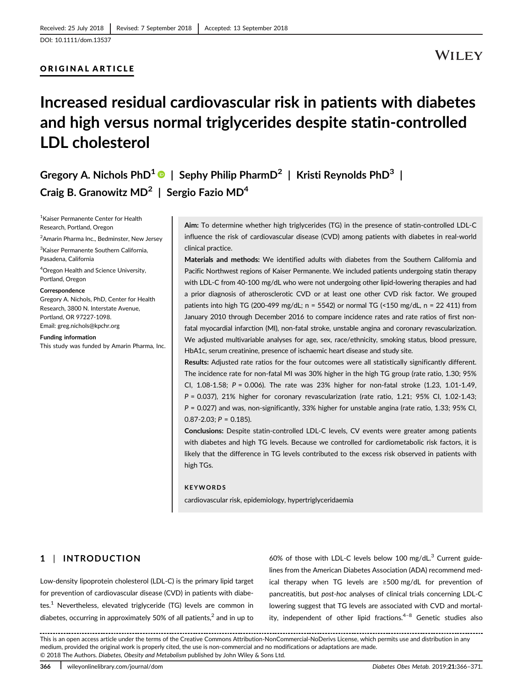## ORIGINAL ARTICLE

# Increased residual cardiovascular risk in patients with diabetes and high versus normal triglycerides despite statin-controlled LDL cholesterol

Gregory A. Nichols PhD<sup>1</sup>  $\bullet$  | Sephy Philip PharmD<sup>2</sup> | Kristi Reynolds PhD<sup>3</sup> | Craig B. Granowitz  $MD<sup>2</sup>$  | Sergio Fazio  $MD<sup>4</sup>$ 

1 Kaiser Permanente Center for Health Research, Portland, Oregon

<sup>2</sup> Amarin Pharma Inc., Bedminster, New Jersey

3 Kaiser Permanente Southern California, Pasadena, California

4 Oregon Health and Science University, Portland, Oregon

#### **Correspondence**

Gregory A. Nichols, PhD, Center for Health Research, 3800 N. Interstate Avenue, Portland, OR 97227-1098. Email: [greg.nichols@kpchr.org](mailto:greg.nichols@kpchr.org)

#### Funding information

This study was funded by Amarin Pharma, Inc.

Aim: To determine whether high triglycerides (TG) in the presence of statin-controlled LDL-C influence the risk of cardiovascular disease (CVD) among patients with diabetes in real-world clinical practice.

Materials and methods: We identified adults with diabetes from the Southern California and Pacific Northwest regions of Kaiser Permanente. We included patients undergoing statin therapy with LDL-C from 40-100 mg/dL who were not undergoing other lipid-lowering therapies and had a prior diagnosis of atherosclerotic CVD or at least one other CVD risk factor. We grouped patients into high TG (200-499 mg/dL; n = 5542) or normal TG (<150 mg/dL, n = 22 411) from January 2010 through December 2016 to compare incidence rates and rate ratios of first nonfatal myocardial infarction (MI), non-fatal stroke, unstable angina and coronary revascularization. We adjusted multivariable analyses for age, sex, race/ethnicity, smoking status, blood pressure, HbA1c, serum creatinine, presence of ischaemic heart disease and study site.

Results: Adjusted rate ratios for the four outcomes were all statistically significantly different. The incidence rate for non-fatal MI was 30% higher in the high TG group (rate ratio, 1.30; 95% CI,  $1.08-1.58$ ;  $P = 0.006$ ). The rate was 23% higher for non-fatal stroke  $(1.23, 1.01-1.49,$ P = 0.037), 21% higher for coronary revascularization (rate ratio, 1.21; 95% CI, 1.02-1.43; P = 0.027) and was, non-significantly, 33% higher for unstable angina (rate ratio, 1.33; 95% CI,  $0.87 - 2.03$ ;  $P = 0.185$ ).

Conclusions: Despite statin-controlled LDL-C levels, CV events were greater among patients with diabetes and high TG levels. Because we controlled for cardiometabolic risk factors, it is likely that the difference in TG levels contributed to the excess risk observed in patients with high TGs.

#### KEYWORDS

cardiovascular risk, epidemiology, hypertriglyceridaemia

# 1 | INTRODUCTION

Low-density lipoprotein cholesterol (LDL-C) is the primary lipid target for prevention of cardiovascular disease (CVD) in patients with diabetes.<sup>1</sup> Nevertheless, elevated triglyceride (TG) levels are common in diabetes, occurring in approximately 50% of all patients, $<sup>2</sup>$  and in up to</sup>

60% of those with LDL-C levels below 100 mg/dL $^3$  Current guidelines from the American Diabetes Association (ADA) recommend medical therapy when TG levels are ≥500 mg/dL for prevention of pancreatitis, but post-hoc analyses of clinical trials concerning LDL-C lowering suggest that TG levels are associated with CVD and mortality, independent of other lipid fractions.<sup>4-8</sup> Genetic studies also

This is an open access article under the terms of the [Creative Commons Attribution-NonCommercial-NoDerivs](http://creativecommons.org/licenses/by-nc-nd/4.0/) License, which permits use and distribution in any medium, provided the original work is properly cited, the use is non-commercial and no modifications or adaptations are made. © 2018 The Authors. Diabetes, Obesity and Metabolism published by John Wiley & Sons Ltd.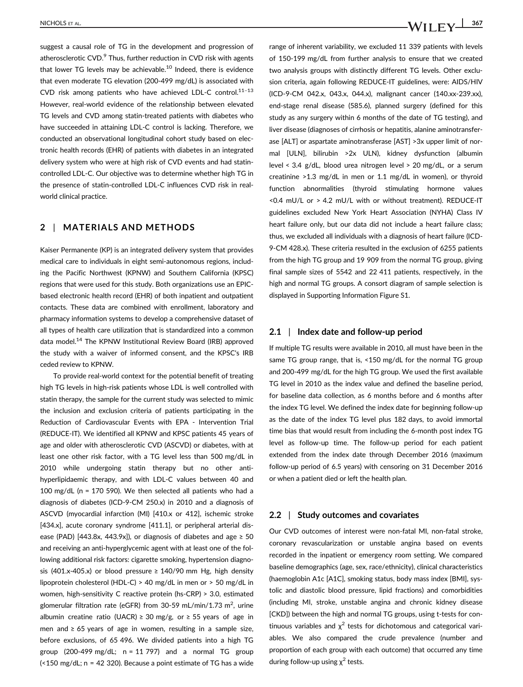suggest a causal role of TG in the development and progression of atherosclerotic  $CVD$ .<sup>9</sup> Thus, further reduction in  $CVD$  risk with agents that lower TG levels may be achievable. $10$  Indeed, there is evidence that even moderate TG elevation (200-499 mg/dL) is associated with CVD risk among patients who have achieved LDL-C control.<sup>11-13</sup> However, real-world evidence of the relationship between elevated TG levels and CVD among statin-treated patients with diabetes who have succeeded in attaining LDL-C control is lacking. Therefore, we conducted an observational longitudinal cohort study based on electronic health records (EHR) of patients with diabetes in an integrated delivery system who were at high risk of CVD events and had statincontrolled LDL-C. Our objective was to determine whether high TG in the presence of statin-controlled LDL-C influences CVD risk in realworld clinical practice.

# 2 | MATERIALS AND METHODS

Kaiser Permanente (KP) is an integrated delivery system that provides medical care to individuals in eight semi-autonomous regions, including the Pacific Northwest (KPNW) and Southern California (KPSC) regions that were used for this study. Both organizations use an EPICbased electronic health record (EHR) of both inpatient and outpatient contacts. These data are combined with enrollment, laboratory and pharmacy information systems to develop a comprehensive dataset of all types of health care utilization that is standardized into a common data model.<sup>14</sup> The KPNW Institutional Review Board (IRB) approved the study with a waiver of informed consent, and the KPSC's IRB ceded review to KPNW.

To provide real-world context for the potential benefit of treating high TG levels in high-risk patients whose LDL is well controlled with statin therapy, the sample for the current study was selected to mimic the inclusion and exclusion criteria of patients participating in the Reduction of Cardiovascular Events with EPA - Intervention Trial (REDUCE-IT). We identified all KPNW and KPSC patients 45 years of age and older with atherosclerotic CVD (ASCVD) or diabetes, with at least one other risk factor, with a TG level less than 500 mg/dL in 2010 while undergoing statin therapy but no other antihyperlipidaemic therapy, and with LDL-C values between 40 and 100 mg/dL (n = 170 590). We then selected all patients who had a diagnosis of diabetes (ICD-9-CM 250.x) in 2010 and a diagnosis of ASCVD (myocardial infarction (MI) [410.x or 412], ischemic stroke [434.x], acute coronary syndrome [411.1], or peripheral arterial disease (PAD) [443.8x, 443.9x]), or diagnosis of diabetes and age  $\geq$  50 and receiving an anti-hyperglycemic agent with at least one of the following additional risk factors: cigarette smoking, hypertension diagnosis (401.x-405.x) or blood pressure  $\geq 140/90$  mm Hg, high density lipoprotein cholesterol (HDL-C) > 40 mg/dL in men or > 50 mg/dL in women, high-sensitivity C reactive protein (hs-CRP) > 3.0, estimated glomerular filtration rate (eGFR) from 30-59 mL/min/1.73 m<sup>2</sup>, urine albumin creatine ratio (UACR)  $\geq$  30 mg/g, or  $\geq$  55 years of age in men and ≥ 65 years of age in women, resulting in a sample size, before exclusions, of 65 496. We divided patients into a high TG group (200-499 mg/dL;  $n = 11$  797) and a normal TG group  $\left($  < 150 mg/dL; n = 42 320). Because a point estimate of TG has a wide range of inherent variability, we excluded 11 339 patients with levels of 150-199 mg/dL from further analysis to ensure that we created two analysis groups with distinctly different TG levels. Other exclusion criteria, again following REDUCE-IT guidelines, were: AIDS/HIV (ICD-9-CM 042.x, 043.x, 044.x), malignant cancer (140.xx-239.xx), end-stage renal disease (585.6), planned surgery (defined for this study as any surgery within 6 months of the date of TG testing), and liver disease (diagnoses of cirrhosis or hepatitis, alanine aminotransferase [ALT] or aspartate aminotransferase [AST] >3x upper limit of normal [ULN], bilirubin >2x ULN), kidney dysfunction (albumin level < 3.4 g/dL, blood urea nitrogen level > 20 mg/dL, or a serum creatinine >1.3 mg/dL in men or 1.1 mg/dL in women), or thyroid function abnormalities (thyroid stimulating hormone values <0.4 mU/L or > 4.2 mU/L with or without treatment). REDUCE-IT guidelines excluded New York Heart Association (NYHA) Class IV heart failure only, but our data did not include a heart failure class; thus, we excluded all individuals with a diagnosis of heart failure (ICD-9-CM 428.x). These criteria resulted in the exclusion of 6255 patients from the high TG group and 19 909 from the normal TG group, giving final sample sizes of 5542 and 22 411 patients, respectively, in the high and normal TG groups. A consort diagram of sample selection is displayed in Supporting Information Figure S1.

### 2.1 | Index date and follow-up period

If multiple TG results were available in 2010, all must have been in the same TG group range, that is, <150 mg/dL for the normal TG group and 200-499 mg/dL for the high TG group. We used the first available TG level in 2010 as the index value and defined the baseline period, for baseline data collection, as 6 months before and 6 months after the index TG level. We defined the index date for beginning follow-up as the date of the index TG level plus 182 days, to avoid immortal time bias that would result from including the 6-month post index TG level as follow-up time. The follow-up period for each patient extended from the index date through December 2016 (maximum follow-up period of 6.5 years) with censoring on 31 December 2016 or when a patient died or left the health plan.

#### 2.2 | Study outcomes and covariates

Our CVD outcomes of interest were non-fatal MI, non-fatal stroke, coronary revascularization or unstable angina based on events recorded in the inpatient or emergency room setting. We compared baseline demographics (age, sex, race/ethnicity), clinical characteristics (haemoglobin A1c [A1C], smoking status, body mass index [BMI], systolic and diastolic blood pressure, lipid fractions) and comorbidities (including MI, stroke, unstable angina and chronic kidney disease [CKD]) between the high and normal TG groups, using t-tests for continuous variables and  $\chi^2$  tests for dichotomous and categorical variables. We also compared the crude prevalence (number and proportion of each group with each outcome) that occurred any time during follow-up using  $\chi^2$  tests.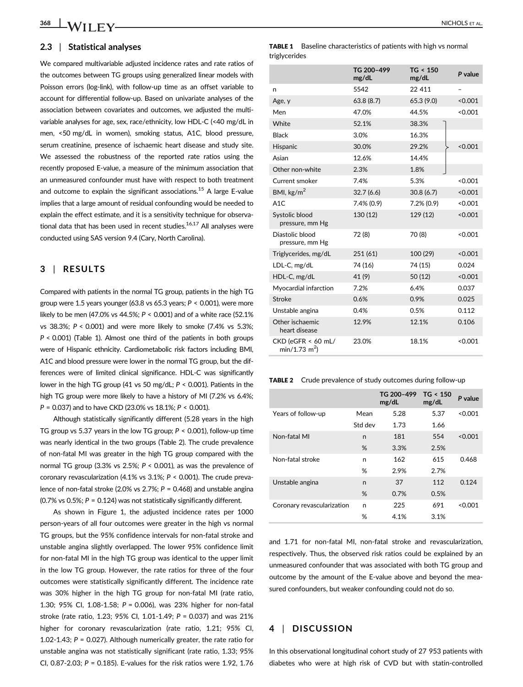#### 2.3 | Statistical analyses

We compared multivariable adjusted incidence rates and rate ratios of the outcomes between TG groups using generalized linear models with Poisson errors (log-link), with follow-up time as an offset variable to account for differential follow-up. Based on univariate analyses of the association between covariates and outcomes, we adjusted the multivariable analyses for age, sex, race/ethnicity, low HDL-C (<40 mg/dL in men, <50 mg/dL in women), smoking status, A1C, blood pressure, serum creatinine, presence of ischaemic heart disease and study site. We assessed the robustness of the reported rate ratios using the recently proposed E-value, a measure of the minimum association that an unmeasured confounder must have with respect to both treatment and outcome to explain the significant associations.<sup>15</sup> A large E-value implies that a large amount of residual confounding would be needed to explain the effect estimate, and it is a sensitivity technique for observational data that has been used in recent studies. $16,17$  All analyses were conducted using SAS version 9.4 (Cary, North Carolina).

## 3 | RESULTS

Compared with patients in the normal TG group, patients in the high TG group were 1.5 years younger (63.8 vs 65.3 years; P < 0.001), were more likely to be men (47.0% vs 44.5%; P < 0.001) and of a white race (52.1% vs 38.3%; P < 0.001) and were more likely to smoke (7.4% vs 5.3%; P < 0.001) (Table 1). Almost one third of the patients in both groups were of Hispanic ethnicity. Cardiometabolic risk factors including BMI, A1C and blood pressure were lower in the normal TG group, but the differences were of limited clinical significance. HDL-C was significantly lower in the high TG group (41 vs 50 mg/dL;  $P < 0.001$ ). Patients in the high TG group were more likely to have a history of MI (7.2% vs 6.4%;  $P = 0.037$ ) and to have CKD (23.0% vs 18.1%;  $P < 0.001$ ).

Although statistically significantly different (5.28 years in the high TG group vs 5.37 years in the low TG group;  $P < 0.001$ ), follow-up time was nearly identical in the two groups (Table 2). The crude prevalence of non-fatal MI was greater in the high TG group compared with the normal TG group (3.3% vs 2.5%; P < 0.001), as was the prevalence of coronary revascularization (4.1% vs 3.1%; P < 0.001). The crude prevalence of non-fatal stroke (2.0% vs 2.7%;  $P = 0.468$ ) and unstable angina (0.7% vs 0.5%;  $P = 0.124$ ) was not statistically significantly different.

As shown in Figure 1, the adjusted incidence rates per 1000 person-years of all four outcomes were greater in the high vs normal TG groups, but the 95% confidence intervals for non-fatal stroke and unstable angina slightly overlapped. The lower 95% confidence limit for non-fatal MI in the high TG group was identical to the upper limit in the low TG group. However, the rate ratios for three of the four outcomes were statistically significantly different. The incidence rate was 30% higher in the high TG group for non-fatal MI (rate ratio, 1.30; 95% CI, 1.08-1.58; P = 0.006), was 23% higher for non-fatal stroke (rate ratio, 1.23; 95% CI, 1.01-1.49; P = 0.037) and was 21% higher for coronary revascularization (rate ratio, 1.21; 95% CI, 1.02-1.43;  $P = 0.027$ ). Although numerically greater, the rate ratio for unstable angina was not statistically significant (rate ratio, 1.33; 95% CI, 0.87-2.03; P = 0.185). E-values for the risk ratios were 1.92, 1.76 **TABLE 1** Baseline characteristics of patients with high vs normal triglycerides

|                                                   | TG 200-499<br>mg/dL | TG < 150<br>mg/dL | P value |
|---------------------------------------------------|---------------------|-------------------|---------|
| n                                                 | 5542                | 22 411            |         |
| Age, y                                            | 63.8(8.7)           | 65.3 (9.0)        | < 0.001 |
| Men                                               | 47.0%               | 44.5%             | < 0.001 |
| White                                             | 52.1%               | 38.3%             |         |
| <b>Black</b>                                      | 3.0%                | 16.3%             |         |
| Hispanic                                          | 30.0%               | 29.2%             | < 0.001 |
| Asian                                             | 12.6%               | 14.4%             |         |
| Other non-white                                   | 2.3%                | 1.8%              |         |
| Current smoker                                    | 7.4%                | 5.3%              | < 0.001 |
| BMI, $\text{kg/m}^2$                              | 32.7(6.6)           | 30.8(6.7)         | < 0.001 |
| A1C                                               | 7.4% (0.9)          | $7.2\%$ (0.9)     | < 0.001 |
| Systolic blood<br>pressure, mm Hg                 | 130 (12)            | 129 (12)          | < 0.001 |
| Diastolic blood<br>pressure, mm Hg                | 72 (8)              | 70 (8)            | < 0.001 |
| Triglycerides, mg/dL                              | 251 (61)            | 100 (29)          | < 0.001 |
| LDL-C, mg/dL                                      | 74 (16)             | 74 (15)           | 0.024   |
| HDL-C, mg/dL                                      | 41 (9)              | 50(12)            | < 0.001 |
| Myocardial infarction                             | 7.2%                | 6.4%              | 0.037   |
| Stroke                                            | 0.6%                | 0.9%              | 0.025   |
| Unstable angina                                   | 0.4%                | 0.5%              | 0.112   |
| Other ischaemic<br>heart disease                  | 12.9%               | 12.1%             | 0.106   |
| CKD (eGFR < 60 mL/<br>$min/1.73$ m <sup>2</sup> ) | 23.0%               | 18.1%             | < 0.001 |

TABLE 2 Crude prevalence of study outcomes during follow-up

|                            |         | TG 200-499<br>mg/dL | TG < 150<br>mg/dL | P value |
|----------------------------|---------|---------------------|-------------------|---------|
| Years of follow-up         | Mean    | 5.28                | 5.37              | < 0.001 |
|                            | Std dev | 1.73                | 1.66              |         |
| Non-fatal MI               | n       | 181                 | 554               | < 0.001 |
|                            | %       | 3.3%                | 2.5%              |         |
| Non-fatal stroke           | n       | 162                 | 615               | 0.468   |
|                            | %       | 2.9%                | 2.7%              |         |
| Unstable angina            | n       | 37                  | 112               | 0.124   |
|                            | %       | 0.7%                | 0.5%              |         |
| Coronary revascularization | n       | 225                 | 691               | < 0.001 |
|                            | %       | 4.1%                | 3.1%              |         |

and 1.71 for non-fatal MI, non-fatal stroke and revascularization, respectively. Thus, the observed risk ratios could be explained by an unmeasured confounder that was associated with both TG group and outcome by the amount of the E-value above and beyond the measured confounders, but weaker confounding could not do so.

## 4 | DISCUSSION

In this observational longitudinal cohort study of 27 953 patients with diabetes who were at high risk of CVD but with statin-controlled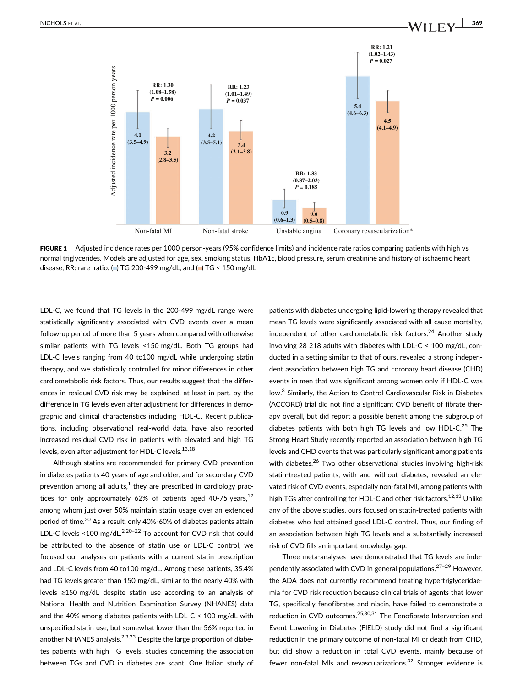

FIGURE 1 Adjusted incidence rates per 1000 person-years (95% confidence limits) and incidence rate ratios comparing patients with high vs normal triglycerides. Models are adjusted for age, sex, smoking status, HbA1c, blood pressure, serum creatinine and history of ischaemic heart disease, RR: rare ratio. ( $\Box$ ) TG 200-499 mg/dL, and ( $\Box$ ) TG < 150 mg/dL

LDL-C, we found that TG levels in the 200-499 mg/dL range were statistically significantly associated with CVD events over a mean follow-up period of more than 5 years when compared with otherwise similar patients with TG levels <150 mg/dL. Both TG groups had LDL-C levels ranging from 40 to100 mg/dL while undergoing statin therapy, and we statistically controlled for minor differences in other cardiometabolic risk factors. Thus, our results suggest that the differences in residual CVD risk may be explained, at least in part, by the difference in TG levels even after adjustment for differences in demographic and clinical characteristics including HDL-C. Recent publications, including observational real-world data, have also reported increased residual CVD risk in patients with elevated and high TG levels, even after adjustment for HDL-C levels.<sup>13,18</sup>

Although statins are recommended for primary CVD prevention in diabetes patients 40 years of age and older, and for secondary CVD prevention among all adults, $<sup>1</sup>$  they are prescribed in cardiology prac-</sup> tices for only approximately 62% of patients aged 40-75 years,  $19$ among whom just over 50% maintain statin usage over an extended period of time.<sup>20</sup> As a result, only 40%-60% of diabetes patients attain LDL-C levels <100 mg/dL. $^{2,20-22}$  To account for CVD risk that could be attributed to the absence of statin use or LDL-C control, we focused our analyses on patients with a current statin prescription and LDL-C levels from 40 to100 mg/dL. Among these patients, 35.4% had TG levels greater than 150 mg/dL, similar to the nearly 40% with levels ≥150 mg/dL despite statin use according to an analysis of National Health and Nutrition Examination Survey (NHANES) data and the 40% among diabetes patients with LDL-C < 100 mg/dL with unspecified statin use, but somewhat lower than the 56% reported in another NHANES analysis.<sup>2,3,23</sup> Despite the large proportion of diabetes patients with high TG levels, studies concerning the association between TGs and CVD in diabetes are scant. One Italian study of

patients with diabetes undergoing lipid-lowering therapy revealed that mean TG levels were significantly associated with all-cause mortality, independent of other cardiometabolic risk factors. $24$  Another study involving 28 218 adults with diabetes with LDL-C < 100 mg/dL, conducted in a setting similar to that of ours, revealed a strong independent association between high TG and coronary heart disease (CHD) events in men that was significant among women only if HDL-C was low.<sup>3</sup> Similarly, the Action to Control Cardiovascular Risk in Diabetes (ACCORD) trial did not find a significant CVD benefit of fibrate therapy overall, but did report a possible benefit among the subgroup of diabetes patients with both high TG levels and low HDL-C. $^{25}$  The Strong Heart Study recently reported an association between high TG levels and CHD events that was particularly significant among patients with diabetes.<sup>26</sup> Two other observational studies involving high-risk statin-treated patients, with and without diabetes, revealed an elevated risk of CVD events, especially non-fatal MI, among patients with high TGs after controlling for HDL-C and other risk factors.<sup>12,13</sup> Unlike any of the above studies, ours focused on statin-treated patients with diabetes who had attained good LDL-C control. Thus, our finding of an association between high TG levels and a substantially increased risk of CVD fills an important knowledge gap.

Three meta-analyses have demonstrated that TG levels are independently associated with CVD in general populations.<sup>27-29</sup> However, the ADA does not currently recommend treating hypertriglyceridaemia for CVD risk reduction because clinical trials of agents that lower TG, specifically fenofibrates and niacin, have failed to demonstrate a reduction in CVD outcomes.<sup>25,30,31</sup> The Fenofibrate Intervention and Event Lowering in Diabetes (FIELD) study did not find a significant reduction in the primary outcome of non-fatal MI or death from CHD, but did show a reduction in total CVD events, mainly because of fewer non-fatal MIs and revascularizations. $32$  Stronger evidence is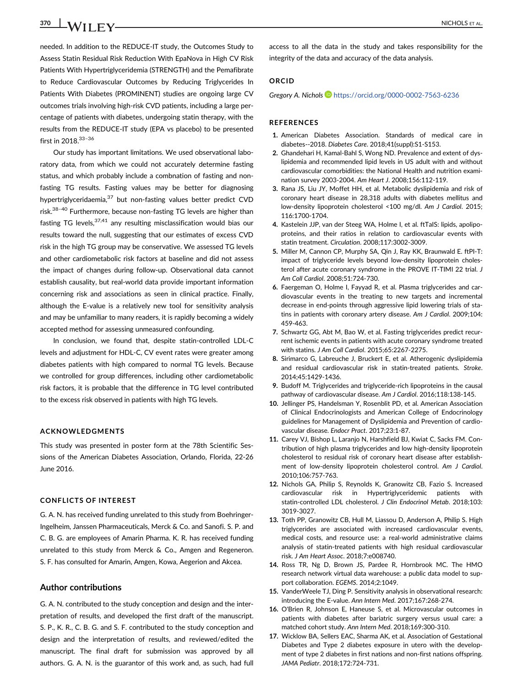# $370$   $\bigcup$   $\bigwedge$   $\bigwedge$   $\biguparrow$   $\biguparrow$   $\bigvee$   $\bigcup$   $\bigcup$   $\bigvee$   $\bigvee$   $\bigvee$   $\bigvee$   $\bigvee$   $\bigvee$   $\bigvee$   $\bigvee$   $\bigvee$   $\bigvee$   $\bigvee$   $\bigvee$   $\bigvee$   $\bigvee$   $\bigvee$   $\bigvee$   $\bigvee$   $\bigvee$   $\bigvee$   $\bigvee$   $\bigvee$   $\bigvee$   $\bigvee$

needed. In addition to the REDUCE-IT study, the Outcomes Study to Assess Statin Residual Risk Reduction With EpaNova in High CV Risk Patients With Hypertriglyceridemia (STRENGTH) and the Pemafibrate to Reduce Cardiovascular Outcomes by Reducing Triglycerides In Patients With Diabetes (PROMINENT) studies are ongoing large CV outcomes trials involving high-risk CVD patients, including a large percentage of patients with diabetes, undergoing statin therapy, with the results from the REDUCE-IT study (EPA vs placebo) to be presented first in 2018.<sup>33-36</sup>

Our study has important limitations. We used observational laboratory data, from which we could not accurately determine fasting status, and which probably include a combnation of fasting and nonfasting TG results. Fasting values may be better for diagnosing hypertriglyceridaemia,<sup>37</sup> but non-fasting values better predict CVD risk.<sup>38-40</sup> Furthermore, because non-fasting TG levels are higher than fasting TG levels,  $37,41$  any resulting misclassification would bias our results toward the null, suggesting that our estimates of excess CVD risk in the high TG group may be conservative. We assessed TG levels and other cardiometabolic risk factors at baseline and did not assess the impact of changes during follow-up. Observational data cannot establish causality, but real-world data provide important information concerning risk and associations as seen in clinical practice. Finally, although the E-value is a relatively new tool for sensitivity analysis and may be unfamiliar to many readers, it is rapidly becoming a widely accepted method for assessing unmeasured confounding.

In conclusion, we found that, despite statin-controlled LDL-C levels and adjustment for HDL-C, CV event rates were greater among diabetes patients with high compared to normal TG levels. Because we controlled for group differences, including other cardiometabolic risk factors, it is probable that the difference in TG level contributed to the excess risk observed in patients with high TG levels.

## ACKNOWLEDGMENTS

This study was presented in poster form at the 78th Scientific Sessions of the American Diabetes Association, Orlando, Florida, 22-26 June 2016.

#### CONFLICTS OF INTEREST

G. A. N. has received funding unrelated to this study from Boehringer-Ingelheim, Janssen Pharmaceuticals, Merck & Co. and Sanofi. S. P. and C. B. G. are employees of Amarin Pharma. K. R. has received funding unrelated to this study from Merck & Co., Amgen and Regeneron. S. F. has consulted for Amarin, Amgen, Kowa, Aegerion and Akcea.

### Author contributions

G. A. N. contributed to the study conception and design and the interpretation of results, and developed the first draft of the manuscript. S. P., K. R., C. B. G. and S. F. contributed to the study conception and design and the interpretation of results, and reviewed/edited the manuscript. The final draft for submission was approved by all authors. G. A. N. is the guarantor of this work and, as such, had full

access to all the data in the study and takes responsibility for the integrity of the data and accuracy of the data analysis.

# ORCID

Gregory A. Nichols <https://orcid.org/0000-0002-7563-6236>

## **REFERENCES**

- 1. American Diabetes Association. Standards of medical care in diabetes--2018. Diabetes Care. 2018;41(suppl):S1-S153.
- 2. Ghandehari H, Kamal-Bahl S, Wong ND. Prevalence and extent of dyslipidemia and recommended lipid levels in US adult with and without cardiovascular comorbidities: the National Health and nutrition examination survey 2003-2004. Am Heart J. 2008;156:112-119.
- 3. Rana JS, Liu JY, Moffet HH, et al. Metabolic dyslipidemia and risk of coronary heart disease in 28,318 adults with diabetes mellitus and low-density lipoprotein cholesterol <100 mg/dl. Am J Cardiol. 2015; 116:1700-1704.
- 4. Kastelein JJP, van der Steeg WA, Holme I, et al. ftTaIS: lipids, apolipoproteins, and their ratios in relation to cardiovascular events with statin treatment. Circulation. 2008;117:3002-3009.
- 5. Miller M, Cannon CP, Murphy SA, Qin J, Ray KK, Braunwald E. ftPI-T: impact of triglyceride levels beyond low-density lipoprotein cholesterol after acute coronary syndrome in the PROVE IT-TIMI 22 trial. J Am Coll Cardiol. 2008;51:724-730.
- 6. Faergeman O, Holme I, Fayyad R, et al. Plasma triglycerides and cardiovascular events in the treating to new targets and incremental decrease in end-points through aggressive lipid lowering trials of statins in patients with coronary artery disease. Am J Cardiol. 2009;104: 459-463.
- 7. Schwartz GG, Abt M, Bao W, et al. Fasting triglycerides predict recurrent ischemic events in patients with acute coronary syndrome treated with statins. J Am Coll Cardiol. 2015;65:2267-2275.
- 8. Sirimarco G, Labreuche J, Bruckert E, et al. Atherogenic dyslipidemia and residual cardiovascular risk in statin-treated patients. Stroke. 2014;45:1429-1436.
- 9. Budoff M. Triglycerides and triglyceride-rich lipoproteins in the causal pathway of cardiovascular disease. Am J Cardiol. 2016;118:138-145.
- 10. Jellinger PS, Handelsman Y, Rosenblit PD, et al. American Association of Clinical Endocrinologists and American College of Endocrinology guidelines for Management of Dyslipidemia and Prevention of cardiovascular disease. Endocr Pract. 2017;23:1-87.
- 11. Carey VJ, Bishop L, Laranjo N, Harshfield BJ, Kwiat C, Sacks FM. Contribution of high plasma triglycerides and low high-density lipoprotein cholesterol to residual risk of coronary heart disease after establishment of low-density lipoprotein cholesterol control. Am J Cardiol. 2010;106:757-763.
- 12. Nichols GA, Philip S, Reynolds K, Granowitz CB, Fazio S. Increased cardiovascular risk in Hypertriglyceridemic patients with statin-controlled LDL cholesterol. J Clin Endocrinol Metab. 2018;103: 3019-3027.
- 13. Toth PP, Granowitz CB, Hull M, Liassou D, Anderson A, Philip S. High triglycerides are associated with increased cardiovascular events, medical costs, and resource use: a real-world administrative claims analysis of statin-treated patients with high residual cardiovascular risk. J Am Heart Assoc. 2018;7:e008740.
- 14. Ross TR, Ng D, Brown JS, Pardee R, Hornbrook MC. The HMO research network virtual data warehouse: a public data model to support collaboration. EGEMS. 2014;2:1049.
- 15. VanderWeele TJ, Ding P. Sensitivity analysis in observational research: introducing the E-value. Ann Intern Med. 2017;167:268-274.
- 16. O'Brien R, Johnson E, Haneuse S, et al. Microvascular outcomes in patients with diabetes after bariatric surgery versus usual care: a matched cohort study. Ann Intern Med. 2018;169:300-310.
- 17. Wicklow BA, Sellers EAC, Sharma AK, et al. Association of Gestational Diabetes and Type 2 diabetes exposure in utero with the development of type 2 diabetes in first nations and non-first nations offspring. JAMA Pediatr. 2018;172:724-731.